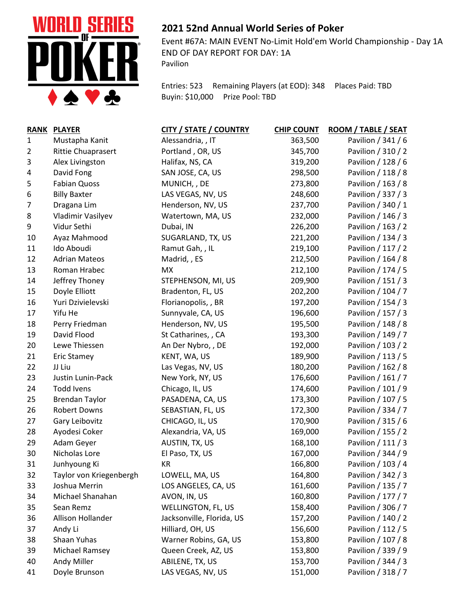

## **2021 52nd Annual World Series of Poker**

Event #67A: MAIN EVENT No-Limit Hold'em World Championship - Day 1A END OF DAY REPORT FOR DAY: 1A Pavilion

Entries: 523 Remaining Players (at EOD): 348 Places Paid: TBD Buyin: \$10,000 Prize Pool: TBD

| <b>RANK</b>    | <b>PLAYER</b>             | <b>CITY / STATE / COUNTRY</b> | <b>CHIP COUNT</b> | ROOM / TABLE / SEAT |
|----------------|---------------------------|-------------------------------|-------------------|---------------------|
| 1              | Mustapha Kanit            | Alessandria, , IT             | 363,500           | Pavilion / 341 / 6  |
| $\overline{2}$ | <b>Rittie Chuaprasert</b> | Portland, OR, US              | 345,700           | Pavilion / 310 / 2  |
| 3              | Alex Livingston           | Halifax, NS, CA               | 319,200           | Pavilion / 128 / 6  |
| 4              | David Fong                | SAN JOSE, CA, US              | 298,500           | Pavilion / 118 / 8  |
| 5              | <b>Fabian Quoss</b>       | MUNICH, , DE                  | 273,800           | Pavilion / 163 / 8  |
| 6              | <b>Billy Baxter</b>       | LAS VEGAS, NV, US             | 248,600           | Pavilion / 337 / 3  |
| $\overline{7}$ | Dragana Lim               | Henderson, NV, US             | 237,700           | Pavilion / 340 / 1  |
| 8              | Vladimir Vasilyev         | Watertown, MA, US             | 232,000           | Pavilion / 146 / 3  |
| 9              | Vidur Sethi               | Dubai, IN                     | 226,200           | Pavilion / 163 / 2  |
| 10             | Ayaz Mahmood              | SUGARLAND, TX, US             | 221,200           | Pavilion / 134 / 3  |
| 11             | Ido Aboudi                | Ramut Gah, , IL               | 219,100           | Pavilion / 117 / 2  |
| 12             | <b>Adrian Mateos</b>      | Madrid, , ES                  | 212,500           | Pavilion / 164 / 8  |
| 13             | Roman Hrabec              | <b>MX</b>                     | 212,100           | Pavilion / 174 / 5  |
| 14             | Jeffrey Thoney            | STEPHENSON, MI, US            | 209,900           | Pavilion / 151 / 3  |
| 15             | Doyle Elliott             | Bradenton, FL, US             | 202,200           | Pavilion / 104 / 7  |
| 16             | Yuri Dzivielevski         | Florianopolis, , BR           | 197,200           | Pavilion / 154 / 3  |
| 17             | Yifu He                   | Sunnyvale, CA, US             | 196,600           | Pavilion / 157 / 3  |
| 18             | Perry Friedman            | Henderson, NV, US             | 195,500           | Pavilion / 148 / 8  |
| 19             | David Flood               | St Catharines, , CA           | 193,300           | Pavilion / 149 / 7  |
| 20             | Lewe Thiessen             | An Der Nybro, , DE            | 192,000           | Pavilion / 103 / 2  |
| 21             | <b>Eric Stamey</b>        | KENT, WA, US                  | 189,900           | Pavilion / 113 / 5  |
| 22             | JJ Liu                    | Las Vegas, NV, US             | 180,200           | Pavilion / 162 / 8  |
| 23             | Justin Lunin-Pack         | New York, NY, US              | 176,600           | Pavilion / 161 / 7  |
| 24             | <b>Todd Ivens</b>         | Chicago, IL, US               | 174,600           | Pavilion / 101 / 9  |
| 25             | <b>Brendan Taylor</b>     | PASADENA, CA, US              | 173,300           | Pavilion / 107 / 5  |
| 26             | Robert Downs              | SEBASTIAN, FL, US             | 172,300           | Pavilion / 334 / 7  |
| 27             | Gary Leibovitz            | CHICAGO, IL, US               | 170,900           | Pavilion / 315 / 6  |
| 28             | Ayodesi Coker             | Alexandria, VA, US            | 169,000           | Pavilion / 155 / 2  |
| 29             | Adam Geyer                | AUSTIN, TX, US                | 168,100           | Pavilion / 111 / 3  |
| 30             | Nicholas Lore             | El Paso, TX, US               | 167,000           | Pavilion / 344 / 9  |
| 31             | Junhyoung Ki              | KR                            | 166,800           | Pavilion / 103 / 4  |
| 32             | Taylor von Kriegenbergh   | LOWELL, MA, US                | 164,800           | Pavilion / 342 / 3  |
| 33             | Joshua Merrin             | LOS ANGELES, CA, US           | 161,600           | Pavilion / 135 / 7  |
| 34             | Michael Shanahan          | AVON, IN, US                  | 160,800           | Pavilion / 177 / 7  |
| 35             | Sean Remz                 | WELLINGTON, FL, US            | 158,400           | Pavilion / 306 / 7  |
| 36             | Allison Hollander         | Jacksonville, Florida, US     | 157,200           | Pavilion / 140 / 2  |
| 37             | Andy Li                   | Hilliard, OH, US              | 156,600           | Pavilion / 112 / 5  |
| 38             | Shaan Yuhas               | Warner Robins, GA, US         | 153,800           | Pavilion / 107 / 8  |
| 39             | Michael Ramsey            | Queen Creek, AZ, US           | 153,800           | Pavilion / 339 / 9  |
| 40             | Andy Miller               | ABILENE, TX, US               | 153,700           | Pavilion / 344 / 3  |
| 41             | Doyle Brunson             | LAS VEGAS, NV, US             | 151,000           | Pavilion / 318 / 7  |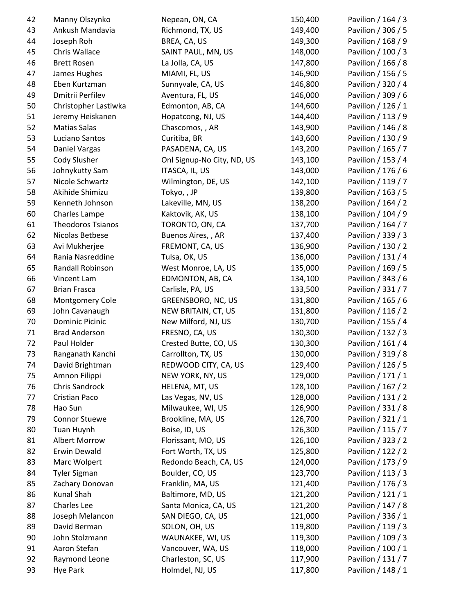| 42 | Manny Olszynko           | Nepean, ON, CA             | 150,400 | Pavilion / 164 / 3 |
|----|--------------------------|----------------------------|---------|--------------------|
| 43 | Ankush Mandavia          | Richmond, TX, US           | 149,400 | Pavilion / 306 / 5 |
| 44 | Joseph Roh               | BREA, CA, US               | 149,300 | Pavilion / 168 / 9 |
| 45 | Chris Wallace            | SAINT PAUL, MN, US         | 148,000 | Pavilion / 100 / 3 |
| 46 | <b>Brett Rosen</b>       | La Jolla, CA, US           | 147,800 | Pavilion / 166 / 8 |
| 47 | James Hughes             | MIAMI, FL, US              | 146,900 | Pavilion / 156 / 5 |
| 48 | Eben Kurtzman            | Sunnyvale, CA, US          | 146,800 | Pavilion / 320 / 4 |
| 49 | Dmitrii Perfilev         | Aventura, FL, US           | 146,000 | Pavilion / 309 / 6 |
| 50 | Christopher Lastiwka     | Edmonton, AB, CA           | 144,600 | Pavilion / 126 / 1 |
| 51 | Jeremy Heiskanen         | Hopatcong, NJ, US          | 144,400 | Pavilion / 113 / 9 |
| 52 | <b>Matias Salas</b>      | Chascomos, , AR            | 143,900 | Pavilion / 146 / 8 |
| 53 | Luciano Santos           | Curitiba, BR               | 143,600 | Pavilion / 130 / 9 |
| 54 | Daniel Vargas            | PASADENA, CA, US           | 143,200 | Pavilion / 165 / 7 |
| 55 | Cody Slusher             | Onl Signup-No City, ND, US | 143,100 | Pavilion / 153 / 4 |
| 56 | Johnykutty Sam           | ITASCA, IL, US             | 143,000 | Pavilion / 176 / 6 |
| 57 | Nicole Schwartz          | Wilmington, DE, US         | 142,100 | Pavilion / 119 / 7 |
| 58 | Akihide Shimizu          | Tokyo,, JP                 | 139,800 | Pavilion / 163 / 5 |
| 59 | Kenneth Johnson          | Lakeville, MN, US          | 138,200 | Pavilion / 164 / 2 |
| 60 | Charles Lampe            | Kaktovik, AK, US           | 138,100 | Pavilion / 104 / 9 |
| 61 | <b>Theodoros Tsianos</b> | TORONTO, ON, CA            | 137,700 | Pavilion / 164 / 7 |
| 62 | Nicolas Betbese          | Buenos Aires, , AR         | 137,400 | Pavilion / 339 / 3 |
| 63 | Avi Mukherjee            | FREMONT, CA, US            | 136,900 | Pavilion / 130 / 2 |
| 64 | Rania Nasreddine         | Tulsa, OK, US              | 136,000 | Pavilion / 131 / 4 |
| 65 | Randall Robinson         | West Monroe, LA, US        | 135,000 | Pavilion / 169 / 5 |
| 66 | Vincent Lam              | EDMONTON, AB, CA           | 134,100 | Pavilion / 343 / 6 |
| 67 | <b>Brian Frasca</b>      | Carlisle, PA, US           | 133,500 | Pavilion / 331 / 7 |
| 68 | Montgomery Cole          | GREENSBORO, NC, US         | 131,800 | Pavilion / 165 / 6 |
| 69 | John Cavanaugh           | NEW BRITAIN, CT, US        | 131,800 | Pavilion / 116 / 2 |
| 70 | <b>Dominic Picinic</b>   | New Milford, NJ, US        | 130,700 | Pavilion / 155 / 4 |
| 71 | <b>Brad Anderson</b>     | FRESNO, CA, US             | 130,300 | Pavilion / 132 / 3 |
| 72 | Paul Holder              | Crested Butte, CO, US      | 130,300 | Pavilion / 161 / 4 |
| 73 | Ranganath Kanchi         | Carrollton, TX, US         | 130,000 | Pavilion / 319 / 8 |
| 74 | David Brightman          | REDWOOD CITY, CA, US       | 129,400 | Pavilion / 126 / 5 |
| 75 | Amnon Filippi            | NEW YORK, NY, US           | 129,000 | Pavilion / 171 / 1 |
| 76 | Chris Sandrock           | HELENA, MT, US             | 128,100 | Pavilion / 167 / 2 |
| 77 | Cristian Paco            | Las Vegas, NV, US          | 128,000 | Pavilion / 131 / 2 |
| 78 | Hao Sun                  | Milwaukee, WI, US          | 126,900 | Pavilion / 331 / 8 |
| 79 | <b>Connor Stuewe</b>     | Brookline, MA, US          | 126,700 | Pavilion / 321 / 1 |
|    |                          |                            |         |                    |
| 80 | <b>Tuan Huynh</b>        | Boise, ID, US              | 126,300 | Pavilion / 115 / 7 |
| 81 | Albert Morrow            | Florissant, MO, US         | 126,100 | Pavilion / 323 / 2 |
| 82 | Erwin Dewald             | Fort Worth, TX, US         | 125,800 | Pavilion / 122 / 2 |
| 83 | Marc Wolpert             | Redondo Beach, CA, US      | 124,000 | Pavilion / 173 / 9 |
| 84 | <b>Tyler Sigman</b>      | Boulder, CO, US            | 123,700 | Pavilion / 113 / 3 |
| 85 | Zachary Donovan          | Franklin, MA, US           | 121,400 | Pavilion / 176 / 3 |
| 86 | Kunal Shah               | Baltimore, MD, US          | 121,200 | Pavilion / 121 / 1 |
| 87 | Charles Lee              | Santa Monica, CA, US       | 121,200 | Pavilion / 147 / 8 |
| 88 | Joseph Melancon          | SAN DIEGO, CA, US          | 121,000 | Pavilion / 336 / 1 |
| 89 | David Berman             | SOLON, OH, US              | 119,800 | Pavilion / 119 / 3 |
| 90 | John Stolzmann           | WAUNAKEE, WI, US           | 119,300 | Pavilion / 109 / 3 |
| 91 | Aaron Stefan             | Vancouver, WA, US          | 118,000 | Pavilion / 100 / 1 |
| 92 | Raymond Leone            | Charleston, SC, US         | 117,900 | Pavilion / 131 / 7 |
| 93 | <b>Hye Park</b>          | Holmdel, NJ, US            | 117,800 | Pavilion / 148 / 1 |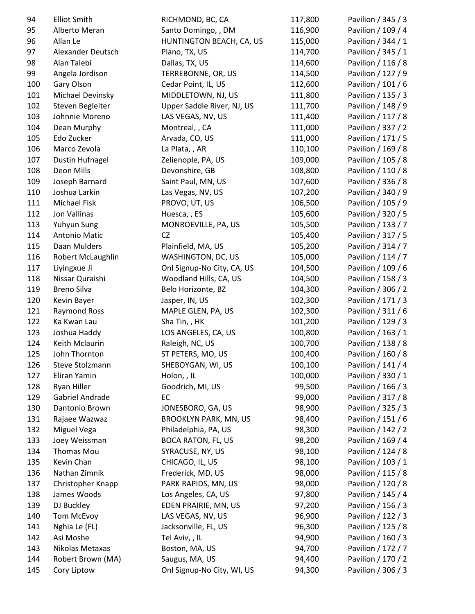| 94  | <b>Elliot Smith</b>    | RICHMOND, BC, CA             | 117,800 | Pavilion / 345 / 3 |
|-----|------------------------|------------------------------|---------|--------------------|
| 95  | Alberto Meran          | Santo Domingo, , DM          | 116,900 | Pavilion / 109 / 4 |
| 96  | Allan Le               | HUNTINGTON BEACH, CA, US     | 115,000 | Pavilion / 344 / 1 |
| 97  | Alexander Deutsch      | Plano, TX, US                | 114,700 | Pavilion / 345 / 1 |
| 98  | Alan Talebi            | Dallas, TX, US               | 114,600 | Pavilion / 116 / 8 |
| 99  | Angela Jordison        | TERREBONNE, OR, US           | 114,500 | Pavilion / 127 / 9 |
| 100 | Gary Olson             | Cedar Point, IL, US          | 112,600 | Pavilion / 101 / 6 |
| 101 | Michael Devinsky       | MIDDLETOWN, NJ, US           | 111,800 | Pavilion / 135 / 3 |
| 102 | Steven Begleiter       | Upper Saddle River, NJ, US   | 111,700 | Pavilion / 148 / 9 |
| 103 | Johnnie Moreno         | LAS VEGAS, NV, US            | 111,400 | Pavilion / 117 / 8 |
| 104 | Dean Murphy            | Montreal, , CA               | 111,000 | Pavilion / 337 / 2 |
| 105 | Edo Zucker             | Arvada, CO, US               | 111,000 | Pavilion / 171 / 5 |
| 106 | Marco Zevola           | La Plata, , AR               | 110,100 | Pavilion / 169 / 8 |
| 107 | <b>Dustin Hufnagel</b> | Zelienople, PA, US           | 109,000 | Pavilion / 105 / 8 |
| 108 | Deon Mills             | Devonshire, GB               | 108,800 | Pavilion / 110 / 8 |
| 109 | Joseph Barnard         | Saint Paul, MN, US           | 107,600 | Pavilion / 336 / 8 |
| 110 | Joshua Larkin          | Las Vegas, NV, US            | 107,200 | Pavilion / 340 / 9 |
| 111 | Michael Fisk           | PROVO, UT, US                | 106,500 | Pavilion / 105 / 9 |
| 112 | Jon Vallinas           | Huesca, , ES                 | 105,600 | Pavilion / 320 / 5 |
| 113 | Yuhyun Sung            | MONROEVILLE, PA, US          | 105,500 | Pavilion / 133 / 7 |
| 114 | <b>Antonio Matic</b>   | <b>CZ</b>                    | 105,400 | Pavilion / 317 / 5 |
| 115 | Daan Mulders           | Plainfield, MA, US           | 105,200 | Pavilion / 314 / 7 |
| 116 | Robert McLaughlin      | WASHINGTON, DC, US           | 105,000 | Pavilion / 114 / 7 |
| 117 | Liyingxue Ji           | Onl Signup-No City, CA, US   | 104,500 | Pavilion / 109 / 6 |
| 118 | Nissar Quraishi        | Woodland Hills, CA, US       | 104,500 | Pavilion / 158 / 3 |
| 119 | <b>Breno Silva</b>     | Belo Horizonte, BZ           | 104,300 | Pavilion / 306 / 2 |
| 120 | Kevin Bayer            | Jasper, IN, US               | 102,300 | Pavilion / 171 / 3 |
| 121 | <b>Raymond Ross</b>    | MAPLE GLEN, PA, US           | 102,300 | Pavilion / 311 / 6 |
| 122 | Ka Kwan Lau            | Sha Tin, , HK                | 101,200 | Pavilion / 129 / 3 |
| 123 | Joshua Haddy           | LOS ANGELES, CA, US          | 100,800 | Pavilion / 163 / 1 |
| 124 | Keith Mclaurin         | Raleigh, NC, US              | 100,700 | Pavilion / 138 / 8 |
| 125 | John Thornton          | ST PETERS, MO, US            | 100,400 | Pavilion / 160 / 8 |
| 126 | Steve Stolzmann        | SHEBOYGAN, WI, US            | 100,100 | Pavilion / 141 / 4 |
| 127 | Eliran Yamin           | Holon, , IL                  | 100,000 | Pavilion / 330 / 1 |
| 128 | Ryan Hiller            | Goodrich, MI, US             | 99,500  | Pavilion / 166 / 3 |
| 129 | Gabriel Andrade        | EC                           | 99,000  | Pavilion / 317 / 8 |
| 130 | Dantonio Brown         | JONESBORO, GA, US            | 98,900  | Pavilion / 325 / 3 |
| 131 | Rajaee Wazwaz          | <b>BROOKLYN PARK, MN, US</b> | 98,400  | Pavilion / 151 / 6 |
| 132 | Miguel Vega            | Philadelphia, PA, US         | 98,300  | Pavilion / 142 / 2 |
| 133 | Joey Weissman          | <b>BOCA RATON, FL, US</b>    | 98,200  | Pavilion / 169 / 4 |
| 134 | Thomas Mou             | SYRACUSE, NY, US             | 98,100  | Pavilion / 124 / 8 |
| 135 | Kevin Chan             | CHICAGO, IL, US              | 98,100  | Pavilion / 103 / 1 |
| 136 | Nathan Zimnik          | Frederick, MD, US            | 98,000  | Pavilion / 115 / 8 |
| 137 | Christopher Knapp      | PARK RAPIDS, MN, US          | 98,000  | Pavilion / 120 / 8 |
| 138 | James Woods            | Los Angeles, CA, US          | 97,800  | Pavilion / 145 / 4 |
| 139 | DJ Buckley             | EDEN PRAIRIE, MN, US         | 97,200  | Pavilion / 156 / 3 |
| 140 | <b>Tom McEvoy</b>      | LAS VEGAS, NV, US            | 96,900  | Pavilion / 122 / 3 |
| 141 | Nghia Le (FL)          | Jacksonville, FL, US         | 96,300  | Pavilion / 125 / 8 |
| 142 | Asi Moshe              | Tel Aviv, , IL               | 94,900  | Pavilion / 160 / 3 |
| 143 | Nikolas Metaxas        | Boston, MA, US               | 94,700  | Pavilion / 172 / 7 |
| 144 | Robert Brown (MA)      | Saugus, MA, US               | 94,400  | Pavilion / 170 / 2 |
| 145 | Cory Liptow            | Onl Signup-No City, WI, US   | 94,300  | Pavilion / 306 / 3 |
|     |                        |                              |         |                    |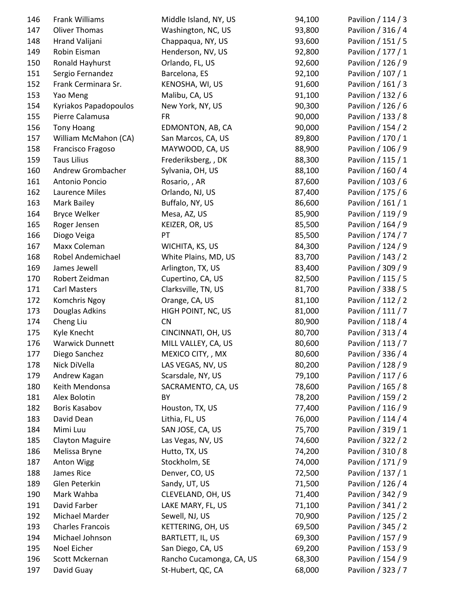| 146 | Frank Williams          | Middle Island, NY, US    | 94,100 | Pavilion / 114 / 3 |
|-----|-------------------------|--------------------------|--------|--------------------|
| 147 | <b>Oliver Thomas</b>    | Washington, NC, US       | 93,800 | Pavilion / 316 / 4 |
| 148 | Hrand Valijani          | Chappaqua, NY, US        | 93,600 | Pavilion / 151 / 5 |
| 149 | Robin Eisman            | Henderson, NV, US        | 92,800 | Pavilion / 177 / 1 |
| 150 | Ronald Hayhurst         | Orlando, FL, US          | 92,600 | Pavilion / 126 / 9 |
| 151 | Sergio Fernandez        | Barcelona, ES            | 92,100 | Pavilion / 107 / 1 |
| 152 | Frank Cerminara Sr.     | KENOSHA, WI, US          | 91,600 | Pavilion / 161 / 3 |
| 153 | Yao Meng                | Malibu, CA, US           | 91,100 | Pavilion / 132 / 6 |
| 154 | Kyriakos Papadopoulos   | New York, NY, US         | 90,300 | Pavilion / 126 / 6 |
| 155 | Pierre Calamusa         | FR                       | 90,000 | Pavilion / 133 / 8 |
| 156 | <b>Tony Hoang</b>       | EDMONTON, AB, CA         | 90,000 | Pavilion / 154 / 2 |
| 157 | William McMahon (CA)    | San Marcos, CA, US       | 89,800 | Pavilion / 170 / 1 |
| 158 | Francisco Fragoso       | MAYWOOD, CA, US          | 88,900 | Pavilion / 106 / 9 |
| 159 | <b>Taus Lilius</b>      | Frederiksberg, , DK      | 88,300 | Pavilion / 115 / 1 |
| 160 | Andrew Grombacher       | Sylvania, OH, US         | 88,100 | Pavilion / 160 / 4 |
| 161 | Antonio Poncio          | Rosario, , AR            | 87,600 | Pavilion / 103 / 6 |
| 162 | Laurence Miles          | Orlando, NJ, US          | 87,400 | Pavilion / 175 / 6 |
| 163 | Mark Bailey             | Buffalo, NY, US          | 86,600 | Pavilion / 161 / 1 |
| 164 | <b>Bryce Welker</b>     | Mesa, AZ, US             | 85,900 | Pavilion / 119 / 9 |
| 165 | Roger Jensen            | KEIZER, OR, US           | 85,500 | Pavilion / 164 / 9 |
| 166 | Diogo Veiga             | PT                       | 85,500 | Pavilion / 174 / 7 |
| 167 | Maxx Coleman            | WICHITA, KS, US          | 84,300 | Pavilion / 124 / 9 |
| 168 | Robel Andemichael       | White Plains, MD, US     | 83,700 | Pavilion / 143 / 2 |
| 169 | James Jewell            | Arlington, TX, US        | 83,400 | Pavilion / 309 / 9 |
| 170 | Robert Zeidman          |                          |        | Pavilion / 115 / 5 |
|     | <b>Carl Masters</b>     | Cupertino, CA, US        | 82,500 |                    |
| 171 |                         | Clarksville, TN, US      | 81,700 | Pavilion / 338 / 5 |
| 172 | Komchris Ngoy           | Orange, CA, US           | 81,100 | Pavilion / 112 / 2 |
| 173 | Douglas Adkins          | HIGH POINT, NC, US       | 81,000 | Pavilion / 111 / 7 |
| 174 | Cheng Liu               | <b>CN</b>                | 80,900 | Pavilion / 118 / 4 |
| 175 | Kyle Knecht             | CINCINNATI, OH, US       | 80,700 | Pavilion / 313 / 4 |
| 176 | <b>Warwick Dunnett</b>  | MILL VALLEY, CA, US      | 80,600 | Pavilion / 113 / 7 |
| 177 | Diego Sanchez           | MEXICO CITY, , MX        | 80,600 | Pavilion / 336 / 4 |
| 178 | Nick DiVella            | LAS VEGAS, NV, US        | 80,200 | Pavilion / 128 / 9 |
| 179 | Andrew Kagan            | Scarsdale, NY, US        | 79,100 | Pavilion / 117 / 6 |
| 180 | Keith Mendonsa          | SACRAMENTO, CA, US       | 78,600 | Pavilion / 165 / 8 |
| 181 | Alex Bolotin            | BY                       | 78,200 | Pavilion / 159 / 2 |
| 182 | Boris Kasabov           | Houston, TX, US          | 77,400 | Pavilion / 116 / 9 |
| 183 | David Dean              | Lithia, FL, US           | 76,000 | Pavilion / 114 / 4 |
| 184 | Mimi Luu                | SAN JOSE, CA, US         | 75,700 | Pavilion / 319 / 1 |
| 185 | <b>Clayton Maguire</b>  | Las Vegas, NV, US        | 74,600 | Pavilion / 322 / 2 |
| 186 | Melissa Bryne           | Hutto, TX, US            | 74,200 | Pavilion / 310 / 8 |
| 187 | <b>Anton Wigg</b>       | Stockholm, SE            | 74,000 | Pavilion / 171 / 9 |
| 188 | James Rice              | Denver, CO, US           | 72,500 | Pavilion / 137 / 1 |
| 189 | Glen Peterkin           | Sandy, UT, US            | 71,500 | Pavilion / 126 / 4 |
| 190 | Mark Wahba              | CLEVELAND, OH, US        | 71,400 | Pavilion / 342 / 9 |
| 191 | David Farber            | LAKE MARY, FL, US        | 71,100 | Pavilion / 341 / 2 |
| 192 | Michael Marder          | Sewell, NJ, US           | 70,900 | Pavilion / 125 / 2 |
| 193 | <b>Charles Francois</b> | KETTERING, OH, US        | 69,500 | Pavilion / 345 / 2 |
| 194 | Michael Johnson         | BARTLETT, IL, US         | 69,300 | Pavilion / 157 / 9 |
| 195 | Noel Eicher             | San Diego, CA, US        | 69,200 | Pavilion / 153 / 9 |
| 196 | Scott Mckernan          | Rancho Cucamonga, CA, US | 68,300 | Pavilion / 154 / 9 |
| 197 | David Guay              | St-Hubert, QC, CA        | 68,000 | Pavilion / 323 / 7 |
|     |                         |                          |        |                    |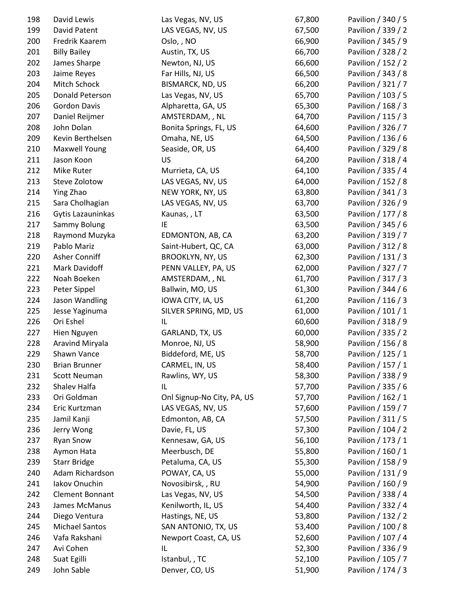| 198 | David Lewis           | Las Vegas, NV, US          | 67,800 | Pavilion / 340 / 5 |
|-----|-----------------------|----------------------------|--------|--------------------|
| 199 | David Patent          | LAS VEGAS, NV, US          | 67,500 | Pavilion / 339 / 2 |
| 200 | Fredrik Kaarem        | Oslo, , NO                 | 66,900 | Pavilion / 345 / 9 |
| 201 | <b>Billy Bailey</b>   | Austin, TX, US             | 66,700 | Pavilion / 328 / 2 |
| 202 | James Sharpe          | Newton, NJ, US             | 66,600 | Pavilion / 152 / 2 |
| 203 | Jaime Reyes           | Far Hills, NJ, US          | 66,500 | Pavilion / 343 / 8 |
| 204 | Mitch Schock          | BISMARCK, ND, US           | 66,200 | Pavilion / 321 / 7 |
| 205 | Donald Peterson       | Las Vegas, NV, US          | 65,700 | Pavilion / 103 / 5 |
| 206 | <b>Gordon Davis</b>   | Alpharetta, GA, US         | 65,300 | Pavilion / 168 / 3 |
| 207 | Daniel Reijmer        | AMSTERDAM, , NL            | 64,700 | Pavilion / 115 / 3 |
| 208 | John Dolan            | Bonita Springs, FL, US     | 64,600 | Pavilion / 326 / 7 |
| 209 | Kevin Berthelsen      | Omaha, NE, US              | 64,500 | Pavilion / 136 / 6 |
| 210 | <b>Maxwell Young</b>  | Seaside, OR, US            | 64,400 | Pavilion / 329 / 8 |
| 211 | Jason Koon            | US                         | 64,200 | Pavilion / 318 / 4 |
| 212 | Mike Ruter            | Murrieta, CA, US           | 64,100 | Pavilion / 335 / 4 |
| 213 | Steve Zolotow         | LAS VEGAS, NV, US          | 64,000 | Pavilion / 152 / 8 |
| 214 | Ying Zhao             | NEW YORK, NY, US           | 63,800 | Pavilion / 341 / 3 |
| 215 | Sara Cholhagian       | LAS VEGAS, NV, US          | 63,700 | Pavilion / 326 / 9 |
| 216 | Gytis Lazauninkas     | Kaunas,, LT                | 63,500 | Pavilion / 177 / 8 |
| 217 | Sammy Bolung          | IE                         | 63,500 | Pavilion / 345 / 6 |
| 218 | Raymond Muzyka        | EDMONTON, AB, CA           | 63,200 | Pavilion / 319 / 7 |
| 219 | Pablo Mariz           | Saint-Hubert, QC, CA       | 63,000 | Pavilion / 312 / 8 |
| 220 | Asher Conniff         | BROOKLYN, NY, US           | 62,300 | Pavilion / 131 / 3 |
| 221 | Mark Davidoff         | PENN VALLEY, PA, US        | 62,000 | Pavilion / 327 / 7 |
| 222 | Noah Boeken           | AMSTERDAM, , NL            | 61,700 | Pavilion / 317 / 3 |
| 223 | Peter Sippel          | Ballwin, MO, US            | 61,300 | Pavilion / 344 / 6 |
| 224 | Jason Wandling        | IOWA CITY, IA, US          | 61,200 | Pavilion / 116 / 3 |
| 225 | Jesse Yaginuma        | SILVER SPRING, MD, US      | 61,000 | Pavilion / 101 / 1 |
| 226 | Ori Eshel             | IL                         | 60,600 | Pavilion / 318 / 9 |
| 227 | Hien Nguyen           | GARLAND, TX, US            | 60,000 | Pavilion / 335 / 2 |
| 228 | Aravind Miryala       | Monroe, NJ, US             | 58,900 | Pavilion / 156 / 8 |
| 229 | Shawn Vance           | Biddeford, ME, US          | 58,700 | Pavilion / 125 / 1 |
| 230 | <b>Brian Brunner</b>  | CARMEL, IN, US             | 58,400 | Pavilion / 157 / 1 |
| 231 | <b>Scott Neuman</b>   | Rawlins, WY, US            | 58,300 | Pavilion / 338 / 9 |
| 232 | Shalev Halfa          | IL                         | 57,700 | Pavilion / 335 / 6 |
| 233 | Ori Goldman           | Onl Signup-No City, PA, US | 57,700 | Pavilion / 162 / 1 |
| 234 | Eric Kurtzman         | LAS VEGAS, NV, US          | 57,600 | Pavilion / 159 / 7 |
| 235 | Jamil Kanji           | Edmonton, AB, CA           | 57,500 | Pavilion / 311 / 5 |
| 236 | Jerry Wong            | Davie, FL, US              | 57,300 | Pavilion / 104 / 2 |
| 237 | <b>Ryan Snow</b>      | Kennesaw, GA, US           | 56,100 | Pavilion / 173 / 1 |
| 238 | Aymon Hata            | Meerbusch, DE              | 55,800 | Pavilion / 160 / 1 |
| 239 | <b>Starr Bridge</b>   | Petaluma, CA, US           | 55,300 | Pavilion / 158 / 9 |
| 240 | Adam Richardson       | POWAY, CA, US              | 55,000 | Pavilion / 131 / 9 |
| 241 | Iakov Onuchin         | Novosibirsk, , RU          | 54,900 | Pavilion / 160 / 9 |
| 242 | Clement Bonnant       | Las Vegas, NV, US          | 54,500 | Pavilion / 338 / 4 |
| 243 | James McManus         | Kenilworth, IL, US         | 54,400 | Pavilion / 332 / 4 |
| 244 | Diego Ventura         | Hastings, NE, US           | 53,800 | Pavilion / 132 / 2 |
| 245 | <b>Michael Santos</b> | SAN ANTONIO, TX, US        | 53,400 | Pavilion / 100 / 8 |
| 246 | Vafa Rakshani         | Newport Coast, CA, US      | 52,600 | Pavilion / 107 / 4 |
| 247 | Avi Cohen             | IL                         | 52,300 | Pavilion / 336 / 9 |
| 248 | Suat Egilli           | Istanbul, , TC             | 52,100 | Pavilion / 105 / 7 |
| 249 | John Sable            | Denver, CO, US             | 51,900 | Pavilion / 174 / 3 |
|     |                       |                            |        |                    |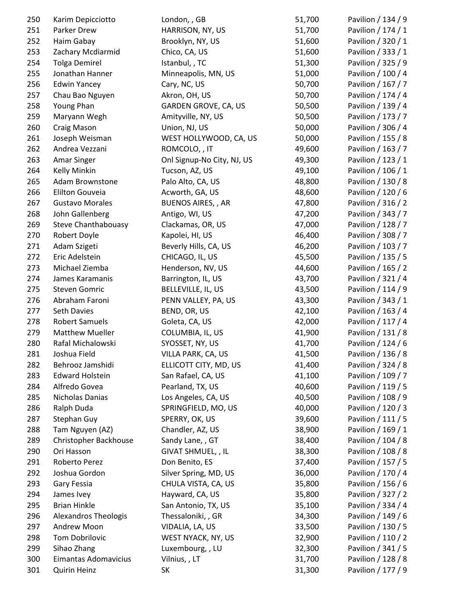| 250 | Karim Depicciotto          | London, , GB               | 51,700 | Pavilion / 134 / 9 |
|-----|----------------------------|----------------------------|--------|--------------------|
| 251 | Parker Drew                | HARRISON, NY, US           | 51,700 | Pavilion / 174 / 1 |
| 252 | Haim Gabay                 | Brooklyn, NY, US           | 51,600 | Pavilion / 320 / 1 |
| 253 | Zachary Mcdiarmid          | Chico, CA, US              | 51,600 | Pavilion / 333 / 1 |
| 254 | <b>Tolga Demirel</b>       | Istanbul, , TC             | 51,300 | Pavilion / 325 / 9 |
| 255 | Jonathan Hanner            | Minneapolis, MN, US        | 51,000 | Pavilion / 100 / 4 |
| 256 | <b>Edwin Yancey</b>        | Cary, NC, US               | 50,700 | Pavilion / 167 / 7 |
| 257 | Chau Bao Nguyen            | Akron, OH, US              | 50,700 | Pavilion / 174 / 4 |
| 258 | Young Phan                 | GARDEN GROVE, CA, US       | 50,500 | Pavilion / 139 / 4 |
| 259 | Maryann Wegh               | Amityville, NY, US         | 50,500 | Pavilion / 173 / 7 |
| 260 | Craig Mason                | Union, NJ, US              | 50,000 | Pavilion / 306 / 4 |
| 261 | Joseph Weisman             | WEST HOLLYWOOD, CA, US     | 50,000 | Pavilion / 155 / 8 |
| 262 | Andrea Vezzani             | ROMCOLO, , IT              | 49,600 | Pavilion / 163 / 7 |
| 263 | <b>Amar Singer</b>         | Onl Signup-No City, NJ, US | 49,300 | Pavilion / 123 / 1 |
| 264 | Kelly Minkin               | Tucson, AZ, US             | 49,100 | Pavilion / 106 / 1 |
| 265 | Adam Brownstone            | Palo Alto, CA, US          | 48,800 | Pavilion / 130 / 8 |
| 266 | Elilton Gouveia            | Acworth, GA, US            | 48,600 | Pavilion / 120 / 6 |
| 267 | <b>Gustavo Morales</b>     | <b>BUENOS AIRES,, AR</b>   | 47,800 | Pavilion / 316 / 2 |
| 268 | John Gallenberg            | Antigo, WI, US             | 47,200 | Pavilion / 343 / 7 |
| 269 | <b>Steve Chanthabouasy</b> | Clackamas, OR, US          | 47,000 | Pavilion / 128 / 7 |
| 270 | Robert Doyle               | Kapolei, HI, US            | 46,400 | Pavilion / 308 / 7 |
| 271 | Adam Szigeti               | Beverly Hills, CA, US      | 46,200 | Pavilion / 103 / 7 |
| 272 | Eric Adelstein             | CHICAGO, IL, US            | 45,500 | Pavilion / 135 / 5 |
| 273 | Michael Ziemba             | Henderson, NV, US          | 44,600 | Pavilion / 165 / 2 |
| 274 | James Karamanis            | Barrington, IL, US         | 43,700 | Pavilion / 321 / 4 |
| 275 | <b>Steven Gomric</b>       | BELLEVILLE, IL, US         | 43,500 | Pavilion / 114 / 9 |
| 276 | Abraham Faroni             | PENN VALLEY, PA, US        | 43,300 | Pavilion / 343 / 1 |
| 277 | Seth Davies                | BEND, OR, US               | 42,100 | Pavilion / 163 / 4 |
| 278 | <b>Robert Samuels</b>      | Goleta, CA, US             | 42,000 | Pavilion / 117 / 4 |
| 279 | <b>Matthew Mueller</b>     | COLUMBIA, IL, US           | 41,900 | Pavilion / 131 / 8 |
| 280 | Rafal Michalowski          | SYOSSET, NY, US            | 41,700 | Pavilion / 124 / 6 |
| 281 | Joshua Field               | VILLA PARK, CA, US         | 41,500 | Pavilion / 136 / 8 |
| 282 | Behrooz Jamshidi           | ELLICOTT CITY, MD, US      | 41,400 | Pavilion / 324 / 8 |
| 283 | <b>Edward Holstein</b>     | San Rafael, CA, US         | 41,100 | Pavilion / 109 / 7 |
| 284 | Alfredo Govea              | Pearland, TX, US           | 40,600 | Pavilion / 119 / 5 |
| 285 | Nicholas Danias            | Los Angeles, CA, US        | 40,500 | Pavilion / 108 / 9 |
| 286 | Ralph Duda                 | SPRINGFIELD, MO, US        | 40,000 | Pavilion / 120 / 3 |
| 287 | Stephan Guy                | SPERRY, OK, US             | 39,600 | Pavilion / 111 / 5 |
| 288 | Tam Nguyen (AZ)            | Chandler, AZ, US           | 38,900 | Pavilion / 169 / 1 |
| 289 | Christopher Backhouse      | Sandy Lane, , GT           | 38,400 | Pavilion / 104 / 8 |
| 290 | Ori Hasson                 | GIVAT SHMUEL, , IL         | 38,300 | Pavilion / 108 / 8 |
| 291 | Roberto Perez              | Don Benito, ES             | 37,400 | Pavilion / 157 / 5 |
| 292 | Joshua Gordon              | Silver Spring, MD, US      | 36,000 | Pavilion / 170 / 4 |
| 293 | Gary Fessia                | CHULA VISTA, CA, US        | 35,800 | Pavilion / 156 / 6 |
| 294 | James Ivey                 | Hayward, CA, US            | 35,800 | Pavilion / 327 / 2 |
| 295 | <b>Brian Hinkle</b>        | San Antonio, TX, US        | 35,100 | Pavilion / 334 / 4 |
| 296 | Alexandros Theologis       | Thessaloniki, , GR         | 34,300 | Pavilion / 149 / 6 |
| 297 | Andrew Moon                | VIDALIA, LA, US            | 33,500 | Pavilion / 130 / 5 |
| 298 | <b>Tom Dobrilovic</b>      | WEST NYACK, NY, US         | 32,900 | Pavilion / 110 / 2 |
| 299 | Sihao Zhang                | Luxembourg, , LU           | 32,300 | Pavilion / 341 / 5 |
| 300 | Eimantas Adomavicius       | Vilnius, , LT              | 31,700 | Pavilion / 128 / 8 |
| 301 | <b>Quirin Heinz</b>        | SK                         | 31,300 | Pavilion / 177 / 9 |
|     |                            |                            |        |                    |